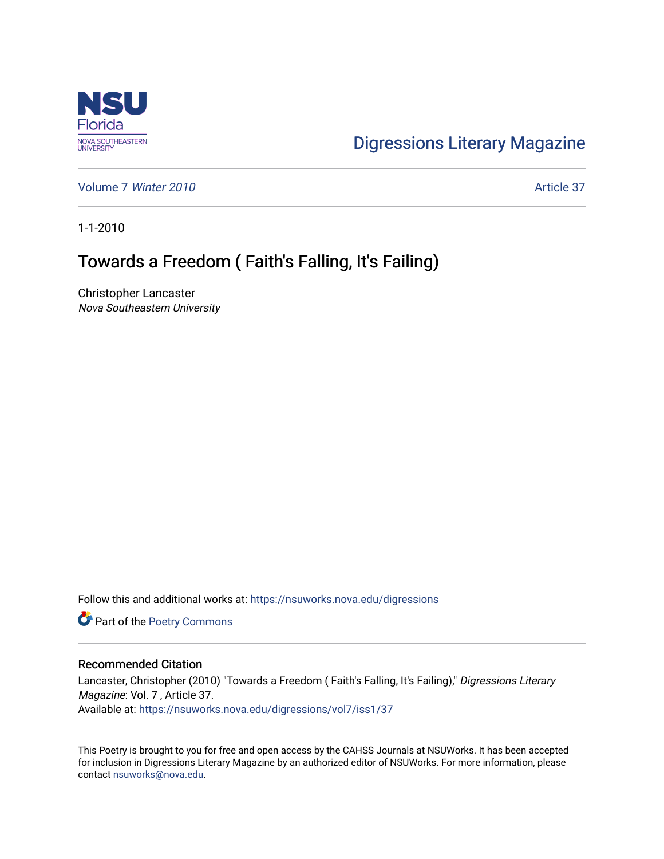

## [Digressions Literary Magazine](https://nsuworks.nova.edu/digressions)

[Volume 7](https://nsuworks.nova.edu/digressions/vol7) Winter 2010 **Article 37** Article 37

1-1-2010

## Towards a Freedom ( Faith's Falling, It's Failing)

Christopher Lancaster Nova Southeastern University

Follow this and additional works at: [https://nsuworks.nova.edu/digressions](https://nsuworks.nova.edu/digressions?utm_source=nsuworks.nova.edu%2Fdigressions%2Fvol7%2Fiss1%2F37&utm_medium=PDF&utm_campaign=PDFCoverPages) 

Part of the [Poetry Commons](http://network.bepress.com/hgg/discipline/1153?utm_source=nsuworks.nova.edu%2Fdigressions%2Fvol7%2Fiss1%2F37&utm_medium=PDF&utm_campaign=PDFCoverPages) 

## Recommended Citation

Lancaster, Christopher (2010) "Towards a Freedom (Faith's Falling, It's Failing)," Digressions Literary Magazine: Vol. 7 , Article 37. Available at: [https://nsuworks.nova.edu/digressions/vol7/iss1/37](https://nsuworks.nova.edu/digressions/vol7/iss1/37?utm_source=nsuworks.nova.edu%2Fdigressions%2Fvol7%2Fiss1%2F37&utm_medium=PDF&utm_campaign=PDFCoverPages) 

This Poetry is brought to you for free and open access by the CAHSS Journals at NSUWorks. It has been accepted for inclusion in Digressions Literary Magazine by an authorized editor of NSUWorks. For more information, please contact [nsuworks@nova.edu.](mailto:nsuworks@nova.edu)